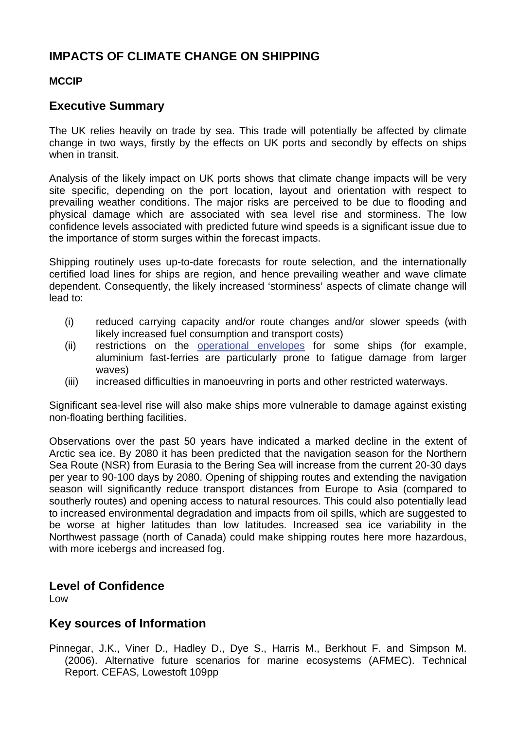# **IMPACTS OF CLIMATE CHANGE ON SHIPPING**

## **MCCIP**

## **Executive Summary**

The UK relies heavily on trade by sea. This trade will potentially be affected by climate change in two ways, firstly by the effects on UK ports and secondly by effects on ships when in transit.

Analysis of the likely impact on UK ports shows that climate change impacts will be very site specific, depending on the port location, layout and orientation with respect to prevailing weather conditions. The major risks are perceived to be due to flooding and physical damage which are associated with sea level rise and storminess. The low confidence levels associated with predicted future wind speeds is a significant issue due to the importance of storm surges within the forecast impacts.

Shipping routinely uses up-to-date forecasts for route selection, and the internationally certified load lines for ships are region, and hence prevailing weather and wave climate dependent. Consequently, the likely increased 'storminess' aspects of climate change will lead to:

- (i) reduced carrying capacity and/or route changes and/or slower speeds (with likely increased fuel consumption and transport costs)
- (ii) restrictions on the [operational envelopes](http://www.mccip.org.uk/arc/glossary.htm) for some ships (for example, aluminium fast-ferries are particularly prone to fatigue damage from larger waves)
- (iii) increased difficulties in manoeuvring in ports and other restricted waterways.

Significant sea-level rise will also make ships more vulnerable to damage against existing non-floating berthing facilities.

Observations over the past 50 years have indicated a marked decline in the extent of Arctic sea ice. By 2080 it has been predicted that the navigation season for the Northern Sea Route (NSR) from Eurasia to the Bering Sea will increase from the current 20-30 days per year to 90-100 days by 2080. Opening of shipping routes and extending the navigation season will significantly reduce transport distances from Europe to Asia (compared to southerly routes) and opening access to natural resources. This could also potentially lead to increased environmental degradation and impacts from oil spills, which are suggested to be worse at higher latitudes than low latitudes. Increased sea ice variability in the Northwest passage (north of Canada) could make shipping routes here more hazardous, with more icebergs and increased fog.

## **Level of Confidence**

Low

## **Key sources of Information**

Pinnegar, J.K., Viner D., Hadley D., Dye S., Harris M., Berkhout F. and Simpson M. (2006). Alternative future scenarios for marine ecosystems (AFMEC). Technical Report. CEFAS, Lowestoft 109pp